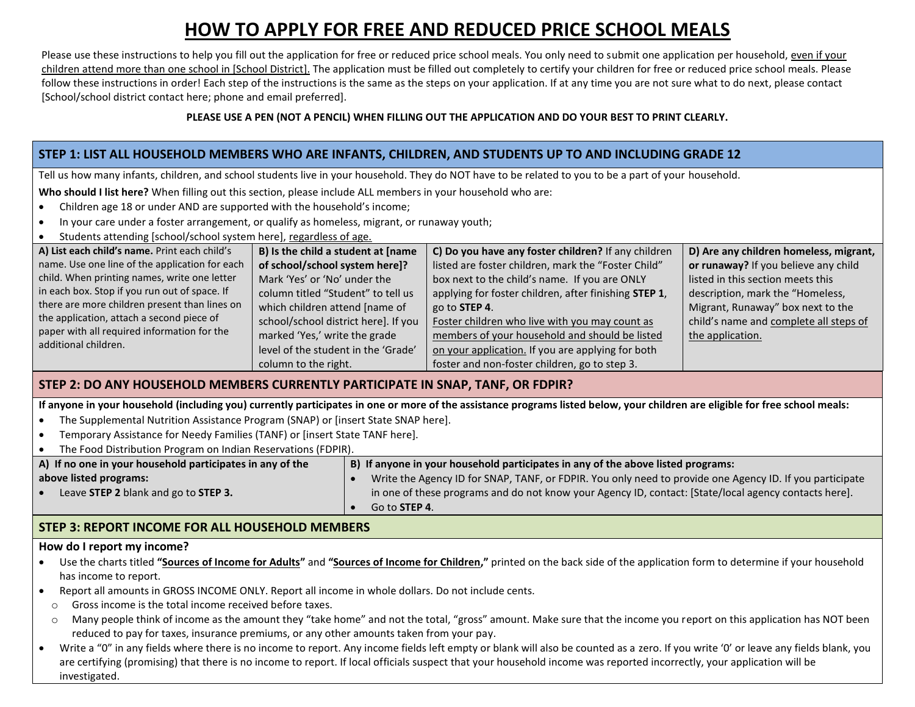# **HOW TO APPLY FOR FREE AND REDUCED PRICE SCHOOL MEALS**

Please use these instructions to help you fill out the application for free or reduced price school meals. You only need to submit one application per household, even if your children attend more than one school in [School District]. The application must be filled out completely to certify your children for free or reduced price school meals. Please follow these instructions in order! Each step of the instructions is the same as the steps on your application. If at any time you are not sure what to do next, please contact [School/school district contact here; phone and email preferred].

#### **PLEASE USE A PEN (NOT A PENCIL) WHEN FILLING OUT THE APPLICATION AND DO YOUR BEST TO PRINT CLEARLY.**

#### **STEP 1: LIST ALL HOUSEHOLD MEMBERS WHO ARE INFANTS, CHILDREN, AND STUDENTS UP TO AND INCLUDING GRADE 12**

Tell us how many infants, children, and school students live in your household. They do NOT have to be related to you to be a part of your household.

**Who should I list here?** When filling out this section, please include ALL members in your household who are:

- Children age 18 or under AND are supported with the household's income;
- In your care under a foster arrangement, or qualify as homeless, migrant, or runaway youth;
- Students attending [school/school system here], regardless of age.

| A) List each child's name. Print each child's                       | B) Is the child a student at [name   | C) Do you have any foster children? If any children   | D) Are any children homeless, migrant, |
|---------------------------------------------------------------------|--------------------------------------|-------------------------------------------------------|----------------------------------------|
| name. Use one line of the application for each                      | of school/school system here]?       | listed are foster children, mark the "Foster Child"   | or runaway? If you believe any child   |
| child. When printing names, write one letter                        | Mark 'Yes' or 'No' under the         | box next to the child's name. If you are ONLY         | listed in this section meets this      |
| in each box. Stop if you run out of space. If                       | column titled "Student" to tell us   | applying for foster children, after finishing STEP 1, | description, mark the "Homeless,       |
| there are more children present than lines on                       | which children attend [name of       | go to <b>STEP 4.</b>                                  | Migrant, Runaway" box next to the      |
| the application, attach a second piece of                           | school/school district here]. If you | Foster children who live with you may count as        | child's name and complete all steps of |
| paper with all required information for the<br>additional children. | marked 'Yes,' write the grade        | members of your household and should be listed        | the application.                       |
|                                                                     | level of the student in the 'Grade'  | on your application. If you are applying for both     |                                        |
|                                                                     | column to the right.                 | foster and non-foster children, go to step 3.         |                                        |

## **STEP 2: DO ANY HOUSEHOLD MEMBERS CURRENTLY PARTICIPATE IN SNAP, TANF, OR FDPIR?**

**If anyone in your household (including you) currently participates in one or more of the assistance programs listed below, your children are eligible for free school meals:**

- The Supplemental Nutrition Assistance Program (SNAP) or [insert State SNAP here].
- Temporary Assistance for Needy Families (TANF) or [insert State TANF here].
- The Food Distribution Program on Indian Reservations (FDPIR).

| A) If no one in your household participates in any of the | B) If anyone in your household participates in any of the above listed programs:                         |  |  |
|-----------------------------------------------------------|----------------------------------------------------------------------------------------------------------|--|--|
| above listed programs:                                    | Write the Agency ID for SNAP, TANF, or FDPIR. You only need to provide one Agency ID. If you participate |  |  |
| Leave STEP 2 blank and go to STEP 3.                      | in one of these programs and do not know your Agency ID, contact: [State/local agency contacts here].    |  |  |
|                                                           | Go to <b>STEP 4</b> .                                                                                    |  |  |

## **STEP 3: REPORT INCOME FOR ALL HOUSEHOLD MEMBERS**

#### **How do I report my income?**

- Use the charts titled **"Sources of Income for Adults"** and **"Sources of Income for Children,"** printed on the back side of the application form to determine if your household has income to report.
- Report all amounts in GROSS INCOME ONLY. Report all income in whole dollars. Do not include cents.
- o Gross income is the total income received before taxes.
- $\circ$  Many people think of income as the amount they "take home" and not the total, "gross" amount. Make sure that the income you report on this application has NOT been reduced to pay for taxes, insurance premiums, or any other amounts taken from your pay.
- Write a "0" in any fields where there is no income to report. Any income fields left empty or blank will also be counted as a zero. If you write '0' or leave any fields blank, you are certifying (promising) that there is no income to report. If local officials suspect that your household income was reported incorrectly, your application will be investigated.